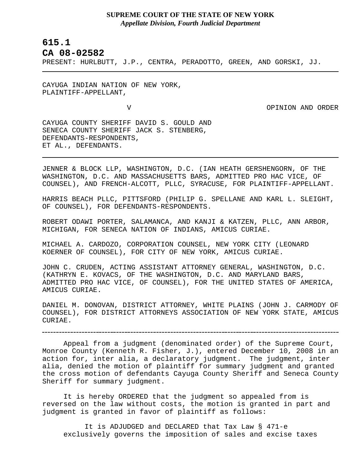# **SUPREME COURT OF THE STATE OF NEW YORK** *Appellate Division, Fourth Judicial Department*

# **615.1**

L

# **CA 08-02582**

PRESENT: HURLBUTT, J.P., CENTRA, PERADOTTO, GREEN, AND GORSKI, JJ.

CAYUGA INDIAN NATION OF NEW YORK, PLAINTIFF-APPELLANT,

V OPINION AND ORDER

CAYUGA COUNTY SHERIFF DAVID S. GOULD AND SENECA COUNTY SHERIFF JACK S. STENBERG, DEFENDANTS-RESPONDENTS, ET AL., DEFENDANTS.

JENNER & BLOCK LLP, WASHINGTON, D.C. (IAN HEATH GERSHENGORN, OF THE WASHINGTON, D.C. AND MASSACHUSETTS BARS, ADMITTED PRO HAC VICE, OF COUNSEL), AND FRENCH-ALCOTT, PLLC, SYRACUSE, FOR PLAINTIFF-APPELLANT.

HARRIS BEACH PLLC, PITTSFORD (PHILIP G. SPELLANE AND KARL L. SLEIGHT, OF COUNSEL), FOR DEFENDANTS-RESPONDENTS.

ROBERT ODAWI PORTER, SALAMANCA, AND KANJI & KATZEN, PLLC, ANN ARBOR, MICHIGAN, FOR SENECA NATION OF INDIANS, AMICUS CURIAE.

MICHAEL A. CARDOZO, CORPORATION COUNSEL, NEW YORK CITY (LEONARD KOERNER OF COUNSEL), FOR CITY OF NEW YORK, AMICUS CURIAE.

\_\_\_\_\_\_\_\_\_\_\_\_\_\_\_\_\_

JOHN C. CRUDEN, ACTING ASSISTANT ATTORNEY GENERAL, WASHINGTON, D.C. (KATHRYN E. KOVACS, OF THE WASHINGTON, D.C. AND MARYLAND BARS, ADMITTED PRO HAC VICE, OF COUNSEL), FOR THE UNITED STATES OF AMERICA, AMICUS CURIAE.

DANIEL M. DONOVAN, DISTRICT ATTORNEY, WHITE PLAINS (JOHN J. CARMODY OF COUNSEL), FOR DISTRICT ATTORNEYS ASSOCIATION OF NEW YORK STATE, AMICUS CURIAE.

Appeal from a judgment (denominated order) of the Supreme Court, Monroe County (Kenneth R. Fisher, J.), entered December 10, 2008 in an action for, inter alia, a declaratory judgment. The judgment, inter alia, denied the motion of plaintiff for summary judgment and granted the cross motion of defendants Cayuga County Sheriff and Seneca County Sheriff for summary judgment.

It is hereby ORDERED that the judgment so appealed from is reversed on the law without costs, the motion is granted in part and judgment is granted in favor of plaintiff as follows:

It is ADJUDGED and DECLARED that Tax Law § 471-e exclusively governs the imposition of sales and excise taxes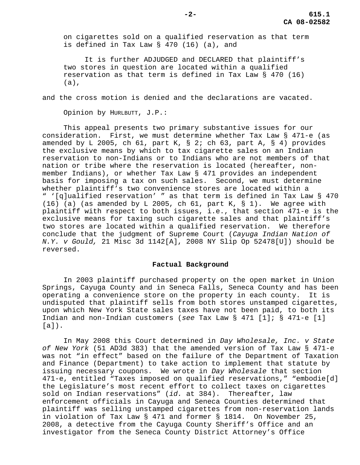on cigarettes sold on a qualified reservation as that term is defined in Tax Law § 470 (16) (a), and

It is further ADJUDGED and DECLARED that plaintiff's two stores in question are located within a qualified reservation as that term is defined in Tax Law § 470 (16) (a),

and the cross motion is denied and the declarations are vacated.

Opinion by HURLBUTT, J.P.:

This appeal presents two primary substantive issues for our consideration. First, we must determine whether Tax Law § 471-e (as amended by L 2005, ch 61, part K, § 2; ch 63, part A, § 4) provides the exclusive means by which to tax cigarette sales on an Indian reservation to non-Indians or to Indians who are not members of that nation or tribe where the reservation is located (hereafter, nonmember Indians), or whether Tax Law § 471 provides an independent basis for imposing a tax on such sales. Second, we must determine whether plaintiff's two convenience stores are located within a " '[q]ualified reservation' " as that term is defined in Tax Law § 470 (16) (a) (as amended by L 2005, ch 61, part K,  $\S$  1). We agree with plaintiff with respect to both issues, i.e., that section 471-e is the exclusive means for taxing such cigarette sales and that plaintiff's two stores are located within a qualified reservation. We therefore conclude that the judgment of Supreme Court (*Cayuga Indian Nation of N.Y. v Gould,* 21 Misc 3d 1142[A], 2008 NY Slip Op 52478[U]) should be reversed.

#### **Factual Background**

In 2003 plaintiff purchased property on the open market in Union Springs, Cayuga County and in Seneca Falls, Seneca County and has been operating a convenience store on the property in each county. It is undisputed that plaintiff sells from both stores unstamped cigarettes, upon which New York State sales taxes have not been paid, to both its Indian and non-Indian customers (*see* Tax Law § 471 [1]; § 471-e [1]  $[a]$ ).

In May 2008 this Court determined in *Day Wholesale, Inc. v State of New York* (51 AD3d 383) that the amended version of Tax Law § 471-e was not "in effect" based on the failure of the Department of Taxation and Finance (Department) to take action to implement that statute by issuing necessary coupons. We wrote in *Day Wholesale* that section 471-e, entitled "Taxes imposed on qualified reservations," "embodie[d] the Legislature's most recent effort to collect taxes on cigarettes sold on Indian reservations" (*id.* at 384). Thereafter, law enforcement officials in Cayuga and Seneca Counties determined that plaintiff was selling unstamped cigarettes from non-reservation lands in violation of Tax Law § 471 and former § 1814. On November 25, 2008, a detective from the Cayuga County Sheriff's Office and an investigator from the Seneca County District Attorney's Office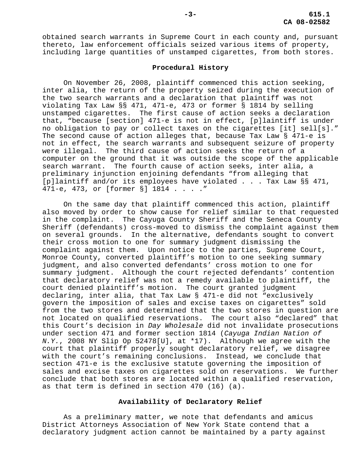obtained search warrants in Supreme Court in each county and, pursuant thereto, law enforcement officials seized various items of property, including large quantities of unstamped cigarettes, from both stores.

## **Procedural History**

On November 26, 2008, plaintiff commenced this action seeking, inter alia, the return of the property seized during the execution of the two search warrants and a declaration that plaintiff was not violating Tax Law §§ 471, 471-e, 473 or former § 1814 by selling unstamped cigarettes. The first cause of action seeks a declaration that, "because [section] 471-e is not in effect, [p]laintiff is under no obligation to pay or collect taxes on the cigarettes [it] sell[s]." The second cause of action alleges that, because Tax Law § 471-e is not in effect, the search warrants and subsequent seizure of property were illegal. The third cause of action seeks the return of a computer on the ground that it was outside the scope of the applicable search warrant. The fourth cause of action seeks, inter alia, a preliminary injunction enjoining defendants "from alleging that [p]laintiff and/or its employees have violated . . . Tax Law §§ 471, 471-e, 473, or [former §] 1814 . . . ."

On the same day that plaintiff commenced this action, plaintiff also moved by order to show cause for relief similar to that requested in the complaint. The Cayuga County Sheriff and the Seneca County Sheriff (defendants) cross-moved to dismiss the complaint against them on several grounds. In the alternative, defendants sought to convert their cross motion to one for summary judgment dismissing the complaint against them. Upon notice to the parties, Supreme Court, Monroe County, converted plaintiff's motion to one seeking summary judgment, and also converted defendants' cross motion to one for summary judgment. Although the court rejected defendants' contention that declaratory relief was not a remedy available to plaintiff, the court denied plaintiff's motion. The court granted judgment declaring, inter alia, that Tax Law § 471-e did not "exclusively govern the imposition of sales and excise taxes on cigarettes" sold from the two stores and determined that the two stores in question are not located on qualified reservations. The court also "declared" that this Court's decision in *Day Wholesale* did not invalidate prosecutions under section 471 and former section 1814 (*Cayuga Indian Nation of N.Y.*, 2008 NY Slip Op 52478[U], at \*17). Although we agree with the court that plaintiff properly sought declaratory relief, we disagree with the court's remaining conclusions. Instead, we conclude that section 471-e is the exclusive statute governing the imposition of sales and excise taxes on cigarettes sold on reservations. We further conclude that both stores are located within a qualified reservation, as that term is defined in section 470 (16) (a).

## **Availability of Declaratory Relief**

As a preliminary matter, we note that defendants and amicus District Attorneys Association of New York State contend that a declaratory judgment action cannot be maintained by a party against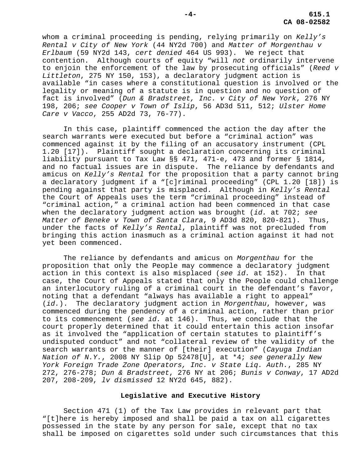whom a criminal proceeding is pending, relying primarily on *Kelly's Rental v City of New York* (44 NY2d 700) and *Matter of Morgenthau v Erlbaum* (59 NY2d 143, *cert denied* 464 US 993). We reject that contention. Although courts of equity "will *not* ordinarily intervene to enjoin the enforcement of the law by prosecuting officials" (*Reed v Littleton*, 275 NY 150, 153), a declaratory judgment action is available "in cases where a constitutional question is involved or the legality or meaning of a statute is in question and no question of fact is involved" (*Dun & Bradstreet, Inc. v City of New York*, 276 NY 198, 206; *see Cooper v Town of Islip*, 56 AD3d 511, 512; *Ulster Home Care v Vacco*, 255 AD2d 73, 76-77).

In this case, plaintiff commenced the action the day after the search warrants were executed but before a "criminal action" was commenced against it by the filing of an accusatory instrument (CPL 1.20 [17]). Plaintiff sought a declaration concerning its criminal liability pursuant to Tax Law §§ 471, 471-e, 473 and former § 1814, and no factual issues are in dispute. The reliance by defendants and amicus on *Kelly's Rental* for the proposition that a party cannot bring a declaratory judgment if a "[c]riminal proceeding" (CPL 1.20 [18]) is pending against that party is misplaced. Although in *Kelly's Rental* the Court of Appeals uses the term "criminal proceeding" instead of "criminal action," a criminal action had been commenced in that case when the declaratory judgment action was brought (*id.* at 702; *see Matter of Beneke v Town of Santa Clara*, 9 AD3d 820, 820-821). Thus, under the facts of *Kelly's Rental*, plaintiff was not precluded from bringing this action inasmuch as a criminal action against it had not yet been commenced.

The reliance by defendants and amicus on *Morgenthau* for the proposition that only the People may commence a declaratory judgment action in this context is also misplaced (*see id.* at 152). In that case, the Court of Appeals stated that only the People could challenge an interlocutory ruling of a criminal court in the defendant's favor, noting that a defendant "always has available a right to appeal" (*id.*). The declaratory judgment action in *Morgenthau*, however, was commenced during the pendency of a criminal action, rather than prior to its commencement (*see id.* at 146). Thus, we conclude that the court properly determined that it could entertain this action insofar as it involved the "application of certain statutes to plaintiff's undisputed conduct" and not "collateral review of the validity of the search warrants or the manner of [their] execution" (*Cayuga Indian Nation of N.Y.*, 2008 NY Slip Op 52478[U], at \*4; *see generally New York Foreign Trade Zone Operators, Inc. v State Liq. Auth.*, 285 NY 272, 276-278; *Dun & Bradstreet*, 276 NY at 206; *Bunis v Conway*, 17 AD2d 207, 208-209, *lv dismissed* 12 NY2d 645, 882).

#### **Legislative and Executive History**

Section 471 (1) of the Tax Law provides in relevant part that "[t]here is hereby imposed and shall be paid a tax on all cigarettes possessed in the state by any person for sale, except that no tax shall be imposed on cigarettes sold under such circumstances that this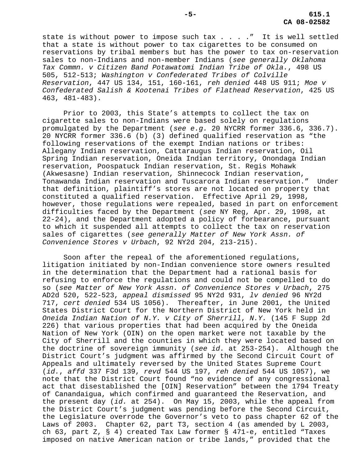state is without power to impose such tax . . . ." It is well settled that a state is without power to tax cigarettes to be consumed on reservations by tribal members but has the power to tax on-reservation sales to non-Indians and non-member Indians (*see generally Oklahoma Tax Commn. v Citizen Band Potawatomi Indian Tribe of Okla.*, 498 US 505, 512-513; *Washington v Confederated Tribes of Colville Reservation*, 447 US 134, 151, 160-161, *reh denied* 448 US 911; *Moe v Confederated Salish & Kootenai Tribes of Flathead Reservation*, 425 US 463, 481-483).

Prior to 2003, this State's attempts to collect the tax on cigarette sales to non-Indians were based solely on regulations promulgated by the Department (*see e.g.* 20 NYCRR former 336.6, 336.7). 20 NYCRR former 336.6 (b) (3) defined qualified reservation as "the following reservations of the exempt Indian nations or tribes: Allegany Indian reservation, Cattaraugus Indian reservation, Oil Spring Indian reservation, Oneida Indian territory, Onondaga Indian reservation, Poospatuck Indian reservation, St. Regis Mohawk (Akwesasne) Indian reservation, Shinnecock Indian reservation, Tonawanda Indian reservation and Tuscarora Indian reservation." Under that definition, plaintiff's stores are not located on property that constituted a qualified reservation. Effective April 29, 1998, however, those regulations were repealed, based in part on enforcement difficulties faced by the Department (*see* NY Reg, Apr. 29, 1998, at 22-24), and the Department adopted a policy of forbearance, pursuant to which it suspended all attempts to collect the tax on reservation sales of cigarettes (*see generally Matter of New York Assn. of Convenience Stores v Urbach*, 92 NY2d 204, 213-215).

Soon after the repeal of the aforementioned regulations, litigation initiated by non-Indian convenience store owners resulted in the determination that the Department had a rational basis for refusing to enforce the regulations and could not be compelled to do so (*see Matter of New York Assn. of Convenience Stores v Urbach*, 275 AD2d 520, 522-523, *appeal dismissed* 95 NY2d 931, *lv denied* 96 NY2d 717, *cert denied* 534 US 1056). Thereafter, in June 2001, the United States District Court for the Northern District of New York held in *Oneida Indian Nation of N.Y. v City of Sherrill*, *N.Y.* (145 F Supp 2d 226) that various properties that had been acquired by the Oneida Nation of New York (OIN) on the open market were not taxable by the City of Sherrill and the counties in which they were located based on the doctrine of sovereign immunity (*see id.* at 253-254). Although the District Court's judgment was affirmed by the Second Circuit Court of Appeals and ultimately reversed by the United States Supreme Court (*id.*, *affd* 337 F3d 139, *revd* 544 US 197, *reh denied* 544 US 1057), we note that the District Court found "no evidence of any congressional act that disestablished the [OIN] Reservation" between the 1794 Treaty of Canandaigua, which confirmed and guaranteed the Reservation, and the present day (*id.* at 254). On May 15, 2003, while the appeal from the District Court's judgment was pending before the Second Circuit, the Legislature overrode the Governor's veto to pass chapter 62 of the Laws of 2003. Chapter 62, part T3, section 4 (as amended by L 2003, ch 63, part  $Z$ , § 4) created Tax Law former § 471-e, entitled "Taxes imposed on native American nation or tribe lands," provided that the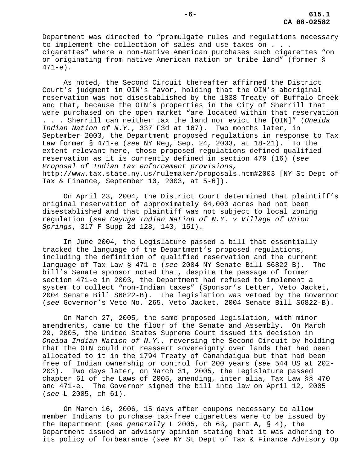Department was directed to "promulgate rules and regulations necessary to implement the collection of sales and use taxes on . . . cigarettes" where a non-Native American purchases such cigarettes "on or originating from native American nation or tribe land" (former § 471-e).

As noted, the Second Circuit thereafter affirmed the District Court's judgment in OIN's favor, holding that the OIN's aboriginal reservation was not disestablished by the 1838 Treaty of Buffalo Creek and that, because the OIN's properties in the City of Sherrill that were purchased on the open market "are located within that reservation . . . Sherrill can neither tax the land nor evict the [OIN]" (*Oneida Indian Nation of N.Y.*, 337 F3d at 167). Two months later, in September 2003, the Department proposed regulations in response to Tax Law former § 471-e (*see* NY Reg, Sep. 24, 2003, at 18-21). To the extent relevant here, those proposed regulations defined qualified reservation as it is currently defined in section 470 (16) (*see Proposal of Indian tax enforcement provisions,* http://www.tax.state.ny.us/rulemaker/proposals.htm#2003 [NY St Dept of Tax & Finance, September 10, 2003, at 5-6]).

On April 23, 2004, the District Court determined that plaintiff's original reservation of approximately 64,000 acres had not been disestablished and that plaintiff was not subject to local zoning regulation (*see Cayuga Indian Nation of N.Y. v Village of Union Springs*, 317 F Supp 2d 128, 143, 151).

In June 2004, the Legislature passed a bill that essentially tracked the language of the Department's proposed regulations, including the definition of qualified reservation and the current language of Tax Law § 471-e (*see* 2004 NY Senate Bill S6822-B). The bill's Senate sponsor noted that, despite the passage of former section 471-e in 2003, the Department had refused to implement a system to collect "non-Indian taxes" (Sponsor's Letter, Veto Jacket, 2004 Senate Bill S6822-B). The legislation was vetoed by the Governor (*see* Governor's Veto No. 265, Veto Jacket, 2004 Senate Bill S6822-B).

On March 27, 2005, the same proposed legislation, with minor amendments, came to the floor of the Senate and Assembly. On March 29, 2005, the United States Supreme Court issued its decision in *Oneida Indian Nation of N.Y.*, reversing the Second Circuit by holding that the OIN could not reassert sovereignty over lands that had been allocated to it in the 1794 Treaty of Canandaigua but that had been free of Indian ownership or control for 200 years (*see* 544 US at 202- 203). Two days later, on March 31, 2005, the Legislature passed chapter 61 of the Laws of 2005, amending, inter alia, Tax Law §§ 470 and 471-e. The Governor signed the bill into law on April 12, 2005 (*see* L 2005, ch 61).

On March 16, 2006, 15 days after coupons necessary to allow member Indians to purchase tax-free cigarettes were to be issued by the Department (*see generally* L 2005, ch 63, part A, § 4), the Department issued an advisory opinion stating that it was adhering to its policy of forbearance (*see* NY St Dept of Tax & Finance Advisory Op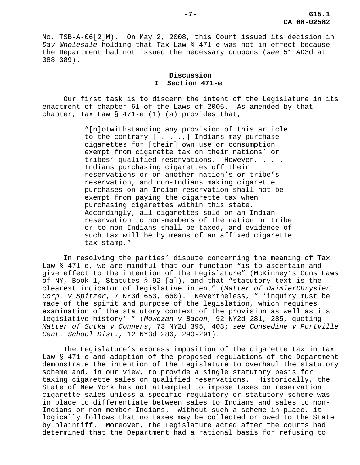No. TSB-A-06[2]M). On May 2, 2008, this Court issued its decision in *Day Wholesale* holding that Tax Law § 471-e was not in effect because the Department had not issued the necessary coupons (*see* 51 AD3d at 388-389).

> **Discussion I Section 471-e**

Our first task is to discern the intent of the Legislature in its enactment of chapter 61 of the Laws of 2005. As amended by that chapter, Tax Law § 471-e (1) (a) provides that,

> "[n]otwithstanding any provision of this article to the contrary  $[ . . . , ]$  Indians may purchase cigarettes for [their] own use or consumption exempt from cigarette tax on their nations' or tribes' qualified reservations. However, . . . Indians purchasing cigarettes off their reservations or on another nation's or tribe's reservation, and non-Indians making cigarette purchases on an Indian reservation shall not be exempt from paying the cigarette tax when purchasing cigarettes within this state. Accordingly, all cigarettes sold on an Indian reservation to non-members of the nation or tribe or to non-Indians shall be taxed, and evidence of such tax will be by means of an affixed cigarette tax stamp."

In resolving the parties' dispute concerning the meaning of Tax Law § 471-e, we are mindful that our function "is to ascertain and give effect to the intention of the Legislature" (McKinney's Cons Laws of NY, Book 1, Statutes § 92 [a]), and that "statutory text is the clearest indicator of legislative intent" (*Matter of DaimlerChrysler Corp. v Spitzer*, 7 NY3d 653, 660). Nevertheless, " 'inquiry must be made of the spirit and purpose of the legislation, which requires examination of the statutory context of the provision as well as its legislative history' " (*Mowczan v Bacon*, 92 NY2d 281, 285, quoting *Matter of Sutka v Conners*, 73 NY2d 395, 403; *see Consedine v Portville Cent. School Dist.*, 12 NY3d 286, 290-291).

The Legislature's express imposition of the cigarette tax in Tax Law § 471-e and adoption of the proposed regulations of the Department demonstrate the intention of the Legislature to overhaul the statutory scheme and, in our view, to provide a single statutory basis for taxing cigarette sales on qualified reservations. Historically, the State of New York has not attempted to impose taxes on reservation cigarette sales unless a specific regulatory or statutory scheme was in place to differentiate between sales to Indians and sales to non-Indians or non-member Indians. Without such a scheme in place, it logically follows that no taxes may be collected or owed to the State by plaintiff. Moreover, the Legislature acted after the courts had determined that the Department had a rational basis for refusing to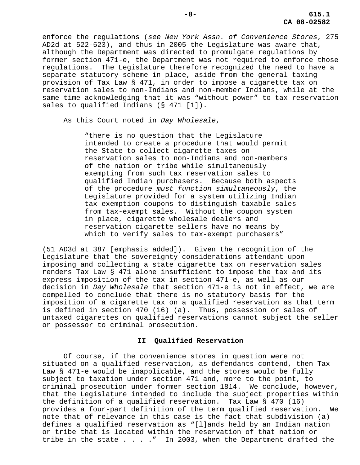enforce the regulations (*see New York Assn. of Convenience Stores*, 275 AD2d at 522-523), and thus in 2005 the Legislature was aware that, although the Department was directed to promulgate regulations by former section 471-e, the Department was not required to enforce those regulations. The Legislature therefore recognized the need to have a separate statutory scheme in place, aside from the general taxing provision of Tax Law § 471, in order to impose a cigarette tax on reservation sales to non-Indians and non-member Indians, while at the same time acknowledging that it was "without power" to tax reservation sales to qualified Indians (§ 471 [1]).

As this Court noted in *Day Wholesale*,

"there is no question that the Legislature intended to create a procedure that would permit the State to collect cigarette taxes on reservation sales to non-Indians and non-members of the nation or tribe while simultaneously exempting from such tax reservation sales to qualified Indian purchasers. Because both aspects of the procedure *must function simultaneously*, the Legislature provided for a system utilizing Indian tax exemption coupons to distinguish taxable sales from tax-exempt sales. Without the coupon system in place, cigarette wholesale dealers and reservation cigarette sellers have no means by which to verify sales to tax-exempt purchasers"

(51 AD3d at 387 [emphasis added]). Given the recognition of the Legislature that the sovereignty considerations attendant upon imposing and collecting a state cigarette tax on reservation sales renders Tax Law § 471 alone insufficient to impose the tax and its express imposition of the tax in section 471-e, as well as our decision in *Day Wholesale* that section 471-e is not in effect, we are compelled to conclude that there is no statutory basis for the imposition of a cigarette tax on a qualified reservation as that term is defined in section 470 (16) (a). Thus, possession or sales of untaxed cigarettes on qualified reservations cannot subject the seller or possessor to criminal prosecution.

### **II Qualified Reservation**

Of course, if the convenience stores in question were not situated on a qualified reservation, as defendants contend, then Tax Law § 471-e would be inapplicable, and the stores would be fully subject to taxation under section 471 and, more to the point, to criminal prosecution under former section 1814. We conclude, however, that the Legislature intended to include the subject properties within the definition of a qualified reservation. Tax Law § 470 (16) provides a four-part definition of the term qualified reservation. We note that of relevance in this case is the fact that subdivision (a) defines a qualified reservation as "[l]ands held by an Indian nation or tribe that is located within the reservation of that nation or tribe in the state . . . ." In 2003, when the Department drafted the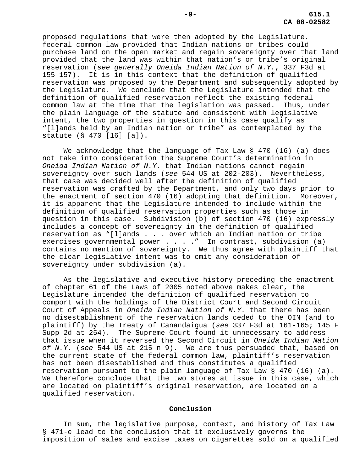proposed regulations that were then adopted by the Legislature, federal common law provided that Indian nations or tribes could purchase land on the open market and regain sovereignty over that land provided that the land was within that nation's or tribe's original reservation (*see generally Oneida Indian Nation of N.Y.*, 337 F3d at 155-157). It is in this context that the definition of qualified reservation was proposed by the Department and subsequently adopted by the Legislature. We conclude that the Legislature intended that the definition of qualified reservation reflect the existing federal common law at the time that the legislation was passed. Thus, under the plain language of the statute and consistent with legislative intent, the two properties in question in this case qualify as "[l]ands held by an Indian nation or tribe" as contemplated by the statute (§ 470 [16] [a]).

We acknowledge that the language of Tax Law  $\S$  470 (16) (a) does not take into consideration the Supreme Court's determination in *Oneida Indian Nation of N.Y.* that Indian nations cannot regain sovereignty over such lands (*see* 544 US at 202-203). Nevertheless, that case was decided well after the definition of qualified reservation was crafted by the Department, and only two days prior to the enactment of section 470 (16) adopting that definition. Moreover, it is apparent that the Legislature intended to include within the definition of qualified reservation properties such as those in question in this case. Subdivision (b) of section 470 (16) expressly includes a concept of sovereignty in the definition of qualified reservation as "[l]ands . . . over which an Indian nation or tribe exercises governmental power  $\ldots$  . . . " In contrast, subdivision (a) contains no mention of sovereignty. We thus agree with plaintiff that the clear legislative intent was to omit any consideration of sovereignty under subdivision (a).

As the legislative and executive history preceding the enactment of chapter 61 of the Laws of 2005 noted above makes clear, the Legislature intended the definition of qualified reservation to comport with the holdings of the District Court and Second Circuit Court of Appeals in *Oneida Indian Nation of N.Y.* that there has been no disestablishment of the reservation lands ceded to the OIN (and to plaintiff) by the Treaty of Canandaigua (*see* 337 F3d at 161-165; 145 F Supp 2d at 254). The Supreme Court found it unnecessary to address that issue when it reversed the Second Circuit in *Oneida Indian Nation of N.Y.* (*see* 544 US at 215 n 9). We are thus persuaded that, based on the current state of the federal common law, plaintiff's reservation has not been disestablished and thus constitutes a qualified reservation pursuant to the plain language of Tax Law  $\S$  470 (16) (a). We therefore conclude that the two stores at issue in this case, which are located on plaintiff's original reservation, are located on a qualified reservation.

#### **Conclusion**

In sum, the legislative purpose, context, and history of Tax Law § 471-e lead to the conclusion that it exclusively governs the imposition of sales and excise taxes on cigarettes sold on a qualified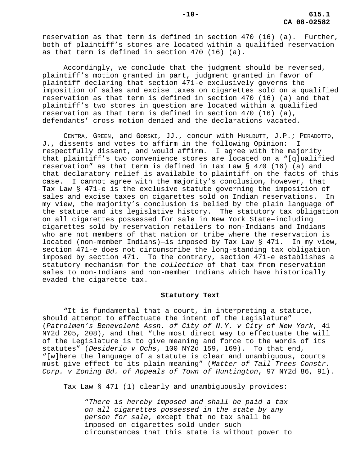reservation as that term is defined in section 470 (16) (a). Further, both of plaintiff's stores are located within a qualified reservation as that term is defined in section 470 (16) (a).

Accordingly, we conclude that the judgment should be reversed, plaintiff's motion granted in part, judgment granted in favor of plaintiff declaring that section 471-e exclusively governs the imposition of sales and excise taxes on cigarettes sold on a qualified reservation as that term is defined in section 470 (16) (a) and that plaintiff's two stores in question are located within a qualified reservation as that term is defined in section 470 (16) (a), defendants' cross motion denied and the declarations vacated.

CENTRA, GREEN, and GORSKI, JJ., concur with HURLBUTT, J.P.; PERADOTTO, J., dissents and votes to affirm in the following Opinion: I respectfully dissent, and would affirm. I agree with the majority that plaintiff's two convenience stores are located on a "[q]ualified reservation" as that term is defined in Tax Law § 470 (16) (a) and that declaratory relief is available to plaintiff on the facts of this case. I cannot agree with the majority's conclusion, however, that Tax Law § 471-e is the exclusive statute governing the imposition of sales and excise taxes on cigarettes sold on Indian reservations. In my view, the majority's conclusion is belied by the plain language of the statute and its legislative history. The statutory tax obligation on all cigarettes possessed for sale in New York State—including cigarettes sold by reservation retailers to non-Indians and Indians who are not members of that nation or tribe where the reservation is located (non-member Indians)—is imposed by Tax Law § 471. In my view, section 471-e does not circumscribe the long-standing tax obligation imposed by section 471. To the contrary, section 471-e establishes a statutory mechanism for the *collection* of that tax from reservation sales to non-Indians and non-member Indians which have historically evaded the cigarette tax.

#### **Statutory Text**

"It is fundamental that a court, in interpreting a statute, should attempt to effectuate the intent of the Legislature" (*Patrolmen's Benevolent Assn. of City of N.Y. v City of New York*, 41 NY2d 205, 208), and that "the most direct way to effectuate the will of the Legislature is to give meaning and force to the words of its statutes" (*Desiderio v Ochs*, 100 NY2d 159, 169). To that end, "[w]here the language of a statute is clear and unambiguous, courts must give effect to its plain meaning" (*Matter of Tall Trees Constr. Corp. v Zoning Bd. of Appeals of Town of Huntington*, 97 NY2d 86, 91).

Tax Law § 471 (1) clearly and unambiguously provides:

"*There is hereby imposed and shall be paid a tax on all cigarettes possessed in the state by any person for sale*, except that no tax shall be imposed on cigarettes sold under such circumstances that this state is without power to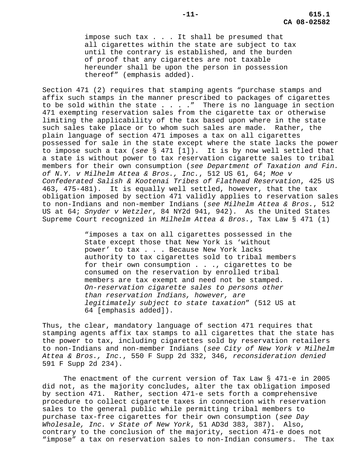impose such tax . . . It shall be presumed that all cigarettes within the state are subject to tax until the contrary is established, and the burden of proof that any cigarettes are not taxable hereunder shall be upon the person in possession thereof" (emphasis added).

Section 471 (2) requires that stamping agents "purchase stamps and affix such stamps in the manner prescribed to packages of cigarettes to be sold within the state  $\ldots$  . . . " There is no language in section 471 exempting reservation sales from the cigarette tax or otherwise limiting the applicability of the tax based upon where in the state such sales take place or to whom such sales are made. Rather, the plain language of section 471 imposes a tax on all cigarettes possessed for sale in the state except where the state lacks the power to impose such a tax (*see* § 471 [1]). It is by now well settled that a state is without power to tax reservation cigarette sales to tribal members for their own consumption (*see Department of Taxation and Fin. of N.Y. v Milhelm Attea & Bros., Inc.*, 512 US 61, 64; *Moe v Confederated Salish & Kootenai Tribes of Flathead Reservation*, 425 US 463, 475-481). It is equally well settled, however, that the tax obligation imposed by section 471 validly applies to reservation sales to non-Indians and non-member Indians (*see Milhelm Attea & Bros.*, 512 US at 64; *Snyder v Wetzler*, 84 NY2d 941, 942). As the United States Supreme Court recognized in *Milhelm Attea & Bros.*, Tax Law § 471 (1)

> "imposes a tax on all cigarettes possessed in the State except those that New York is 'without power' to tax . . . Because New York lacks authority to tax cigarettes sold to tribal members for their own consumption . . ., cigarettes to be consumed on the reservation by enrolled tribal members are tax exempt and need not be stamped. *On-reservation cigarette sales to persons other than reservation Indians, however, are legitimately subject to state taxation*" (512 US at 64 [emphasis added]).

Thus, the clear, mandatory language of section 471 requires that stamping agents affix tax stamps to all cigarettes that the state has the power to tax, including cigarettes sold by reservation retailers to non-Indians and non-member Indians (*see City of New York v Milhelm Attea & Bros., Inc.*, 550 F Supp 2d 332, 346, *reconsideration denied* 591 F Supp 2d 234).

The enactment of the current version of Tax Law § 471-e in 2005 did not, as the majority concludes, alter the tax obligation imposed by section 471. Rather, section 471-e sets forth a comprehensive procedure to collect cigarette taxes in connection with reservation sales to the general public while permitting tribal members to purchase tax-free cigarettes for their own consumption (*see Day Wholesale, Inc. v State of New York*, 51 AD3d 383, 387). Also, contrary to the conclusion of the majority, section 471-e does not "impose" a tax on reservation sales to non-Indian consumers. The tax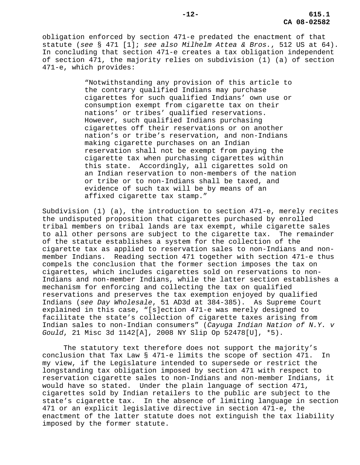obligation enforced by section 471-e predated the enactment of that statute (*see* § 471 [1]; *see also Milhelm Attea & Bros.*, 512 US at 64). In concluding that section 471-e creates a tax obligation independent of section 471, the majority relies on subdivision (1) (a) of section 471-e, which provides:

> "Notwithstanding any provision of this article to the contrary qualified Indians may purchase cigarettes for such qualified Indians' own use or consumption exempt from cigarette tax on their nations' or tribes' qualified reservations. However, such qualified Indians purchasing cigarettes off their reservations or on another nation's or tribe's reservation, and non-Indians making cigarette purchases on an Indian reservation shall not be exempt from paying the cigarette tax when purchasing cigarettes within this state. Accordingly, all cigarettes sold on an Indian reservation to non-members of the nation or tribe or to non-Indians shall be taxed, and evidence of such tax will be by means of an affixed cigarette tax stamp."

Subdivision (1) (a), the introduction to section 471-e, merely recites the undisputed proposition that cigarettes purchased by enrolled tribal members on tribal lands are tax exempt, while cigarette sales to all other persons are subject to the cigarette tax. The remainder of the statute establishes a system for the collection of the cigarette tax as applied to reservation sales to non-Indians and nonmember Indians. Reading section 471 together with section 471-e thus compels the conclusion that the former section imposes the tax on cigarettes, which includes cigarettes sold on reservations to non-Indians and non-member Indians, while the latter section establishes a mechanism for enforcing and collecting the tax on qualified reservations and preserves the tax exemption enjoyed by qualified Indians (*see Day Wholesale*, 51 AD3d at 384-385). As Supreme Court explained in this case, "[s]ection 471-e was merely designed to facilitate the state's collection of cigarette taxes arising from Indian sales to non-Indian consumers" (*Cayuga Indian Nation of N.Y. v Gould*, 21 Misc 3d 1142[A], 2008 NY Slip Op 52478[U], \*5).

The statutory text therefore does not support the majority's conclusion that Tax Law § 471-e limits the scope of section 471. In my view, if the Legislature intended to supersede or restrict the longstanding tax obligation imposed by section 471 with respect to reservation cigarette sales to non-Indians and non-member Indians, it would have so stated. Under the plain language of section 471, cigarettes sold by Indian retailers to the public are subject to the state's cigarette tax. In the absence of limiting language in section 471 or an explicit legislative directive in section 471-e, the enactment of the latter statute does not extinguish the tax liability imposed by the former statute.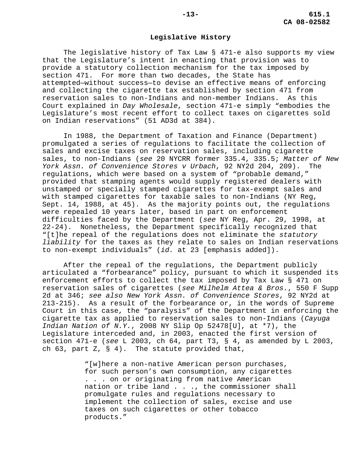## **Legislative History**

The legislative history of Tax Law § 471-e also supports my view that the Legislature's intent in enacting that provision was to provide a statutory collection mechanism for the tax imposed by section 471. For more than two decades, the State has attempted—without success—to devise an effective means of enforcing and collecting the cigarette tax established by section 471 from reservation sales to non-Indians and non-member Indians. As this Court explained in *Day Wholesale*, section 471-e simply "embodies the Legislature's most recent effort to collect taxes on cigarettes sold on Indian reservations" (51 AD3d at 384).

In 1988, the Department of Taxation and Finance (Department) promulgated a series of regulations to facilitate the collection of sales and excise taxes on reservation sales, including cigarette sales, to non-Indians (*see* 20 NYCRR former 335.4, 335.5; *Matter of New York Assn. of Convenience Stores v Urbach*, 92 NY2d 204, 209). The regulations, which were based on a system of "probable demand," provided that stamping agents would supply registered dealers with unstamped or specially stamped cigarettes for tax-exempt sales and with stamped cigarettes for taxable sales to non-Indians (NY Reg, Sept. 14, 1988, at 45). As the majority points out, the regulations were repealed 10 years later, based in part on enforcement difficulties faced by the Department (*see* NY Reg, Apr. 29, 1998, at 22-24). Nonetheless, the Department specifically recognized that "[t]he repeal of the regulations does not eliminate the *statutory liability* for the taxes as they relate to sales on Indian reservations to non-exempt individuals" (*id.* at 23 [emphasis added]).

After the repeal of the regulations, the Department publicly articulated a "forbearance" policy, pursuant to which it suspended its enforcement efforts to collect the tax imposed by Tax Law § 471 on reservation sales of cigarettes (*see Milhelm Attea & Bros.*, 550 F Supp 2d at 346; *see also New York Assn. of Convenience Stores*, 92 NY2d at 213-215). As a result of the forbearance or, in the words of Supreme Court in this case, the "paralysis" of the Department in enforcing the cigarette tax as applied to reservation sales to non-Indians (*Cayuga Indian Nation of N.Y.*, 2008 NY Slip Op 52478[U], at \*7), the Legislature interceded and, in 2003, enacted the first version of section 471-e (*see* L 2003, ch 64, part T3, § 4, as amended by L 2003, ch 63, part  $Z$ ,  $\S$  4). The statute provided that,

> "[w]here a non-native American person purchases, for such person's own consumption, any cigarettes . . . on or originating from native American nation or tribe land . . ., the commissioner shall promulgate rules and regulations necessary to implement the collection of sales, excise and use taxes on such cigarettes or other tobacco products."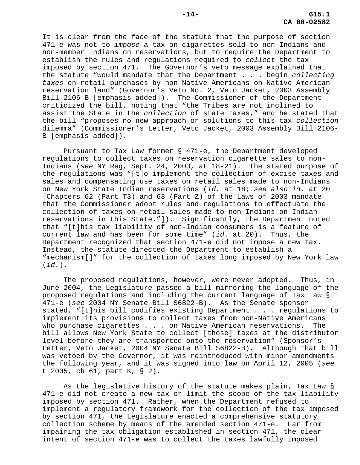It is clear from the face of the statute that the purpose of section 471-e was not to *impose* a tax on cigarettes sold to non-Indians and non-member Indians on reservations, but to require the Department to establish the rules and regulations required to *collect* the tax imposed by section 471. The Governor's veto message explained that the statute "would mandate that the Department . . . begin *collecting taxes* on retail purchases by non-Native Americans on Native American reservation land" (Governor's Veto No. 2, Veto Jacket, 2003 Assembly Bill 2106-B [emphasis added]). The Commissioner of the Department criticized the bill, noting that "the Tribes are not inclined to assist the State in the *collection* of state taxes," and he stated that the bill "proposes no new approach or solutions to this tax *collection* dilemma" (Commissioner's Letter, Veto Jacket, 2003 Assembly Bill 2106- B [emphasis added]).

Pursuant to Tax Law former § 471-e, the Department developed regulations to collect taxes on reservation cigarette sales to non-Indians (*see* NY Reg, Sept. 24, 2003, at 18-21). The stated purpose of the regulations was "[t]o implement the collection of excise taxes and sales and compensating use taxes on retail sales made to non-Indians on New York State Indian reservations (*id.* at 18; *see also id.* at 20 [Chapters 62 (Part T3) and 63 (Part Z) of the Laws of 2003 mandate that the Commissioner adopt rules and regulations to effectuate the collection of taxes on retail sales made to non-Indians on Indian reservations in this State."]). Significantly, the Department noted that "[t]his tax liability of non-Indian consumers is a feature of current law and has been for some time" (*id.* at 20). Thus, the Department recognized that section 471-e did not impose a new tax. Instead, the statute directed the Department to establish a "mechanism[]" for the collection of taxes long imposed by New York law (*id.*).

The proposed regulations, however, were never adopted. Thus, in June 2004, the Legislature passed a bill mirroring the language of the proposed regulations and including the current language of Tax Law § 471-e (*see* 2004 NY Senate Bill S6822-B). As the Senate sponsor stated, "[t]his bill codifies existing Department . . . regulations to implement its provisions to collect taxes from non-Native Americans who purchase cigarettes . . . on Native American reservations. The bill allows New York State to collect [those] taxes at the distributor level before they are transported onto the reservation" (Sponsor's Letter, Veto Jacket, 2004 NY Senate Bill S6822-B). Although that bill was vetoed by the Governor, it was reintroduced with minor amendments the following year, and it was signed into law on April 12, 2005 (*see* L 2005, ch 61, part K, § 2).

As the legislative history of the statute makes plain, Tax Law § 471-e did not create a new tax or limit the scope of the tax liability imposed by section 471. Rather, when the Department refused to implement a regulatory framework for the collection of the tax imposed by section 471, the Legislature enacted a comprehensive statutory collection scheme by means of the amended section 471-e. Far from impairing the tax obligation established in section 471, the clear intent of section 471-e was to collect the taxes lawfully imposed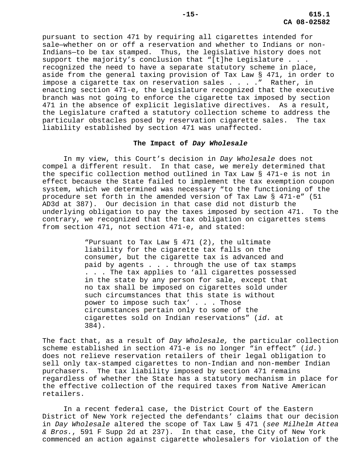pursuant to section 471 by requiring all cigarettes intended for sale—whether on or off a reservation and whether to Indians or non-Indians—to be tax stamped. Thus, the legislative history does not support the majority's conclusion that "[t]he Legislature . . . recognized the need to have a separate statutory scheme in place, aside from the general taxing provision of Tax Law § 471, in order to impose a cigarette tax on reservation sales . . . ." Rather, in enacting section 471-e, the Legislature recognized that the executive branch was not going to enforce the cigarette tax imposed by section 471 in the absence of explicit legislative directives. As a result, the Legislature crafted a statutory collection scheme to address the particular obstacles posed by reservation cigarette sales. The tax liability established by section 471 was unaffected.

## **The Impact of** *Day Wholesale*

In my view, this Court's decision in *Day Wholesale* does not compel a different result. In that case, we merely determined that the specific collection method outlined in Tax Law § 471-e is not in effect because the State failed to implement the tax exemption coupon system, which we determined was necessary "to the functioning of the procedure set forth in the amended version of Tax Law § 471-e" (51 AD3d at 387). Our decision in that case did not disturb the underlying obligation to pay the taxes imposed by section 471. To the contrary, we recognized that the tax obligation on cigarettes stems from section 471, not section 471-e, and stated:

> "Pursuant to Tax Law § 471 (2), the ultimate liability for the cigarette tax falls on the consumer, but the cigarette tax is advanced and paid by agents . . . through the use of tax stamps . . . The tax applies to 'all cigarettes possessed in the state by any person for sale, except that no tax shall be imposed on cigarettes sold under such circumstances that this state is without power to impose such tax' . . . Those circumstances pertain only to some of the cigarettes sold on Indian reservations" (*id.* at 384).

The fact that, as a result of *Day Wholesale,* the particular collection scheme established in section 471-e is no longer "in effect" (*id.*) does not relieve reservation retailers of their legal obligation to sell only tax-stamped cigarettes to non-Indian and non-member Indian purchasers. The tax liability imposed by section 471 remains regardless of whether the State has a statutory mechanism in place for the effective collection of the required taxes from Native American retailers.

In a recent federal case, the District Court of the Eastern District of New York rejected the defendants' claims that our decision in *Day Wholesale* altered the scope of Tax Law § 471 (*see Milhelm Attea & Bros.*, 591 F Supp 2d at 237). In that case, the City of New York commenced an action against cigarette wholesalers for violation of the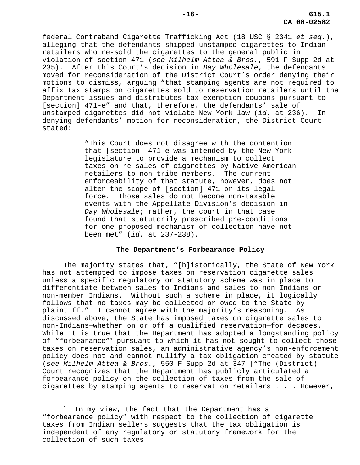federal Contraband Cigarette Trafficking Act (18 USC § 2341 *et seq.*), alleging that the defendants shipped unstamped cigarettes to Indian retailers who re-sold the cigarettes to the general public in violation of section 471 (*see Milhelm Attea & Bros.*, 591 F Supp 2d at 235). After this Court's decision in *Day Wholesale*, the defendants moved for reconsideration of the District Court's order denying their motions to dismiss, arguing "that stamping agents are not required to affix tax stamps on cigarettes sold to reservation retailers until the Department issues and distributes tax exemption coupons pursuant to [section] 471-e" and that, therefore, the defendants' sale of unstamped cigarettes did not violate New York law (*id.* at 236). In denying defendants' motion for reconsideration, the District Court stated:

> "This Court does not disagree with the contention that [section] 471-e was intended by the New York legislature to provide a mechanism to collect taxes on re-sales of cigarettes by Native American retailers to non-tribe members. The current enforceability of that statute, however, does not alter the scope of [section] 471 or its legal force. Those sales do not become non-taxable events with the Appellate Division's decision in *Day Wholesale*; rather, the court in that case found that statutorily prescribed pre-conditions for one proposed mechanism of collection have not been met" (*id.* at 237-238).

#### **The Department's Forbearance Policy**

The majority states that, "[h]istorically, the State of New York has not attempted to impose taxes on reservation cigarette sales unless a specific regulatory or statutory scheme was in place to differentiate between sales to Indians and sales to non-Indians or non-member Indians. Without such a scheme in place, it logically follows that no taxes may be collected or owed to the State by plaintiff." I cannot agree with the majority's reasoning. As discussed above, the State has imposed taxes on cigarette sales to non-Indians—whether on or off a qualified reservation—for decades. While it is true that the Department has adopted a longstanding policy of "forbearance"<sup>1</sup> pursuant to which it has not sought to collect those taxes on reservation sales, an administrative agency's non-enforcement policy does not and cannot nullify a tax obligation created by statute (*see Milhelm Attea & Bros.*, 550 F Supp 2d at 347 ["The (District) Court recognizes that the Department has publicly articulated a forbearance policy on the collection of taxes from the sale of cigarettes by stamping agents to reservation retailers . . . However,

 $1$  In my view, the fact that the Department has a "forbearance policy" with respect to the collection of cigarette taxes from Indian sellers suggests that the tax obligation is independent of any regulatory or statutory framework for the collection of such taxes.